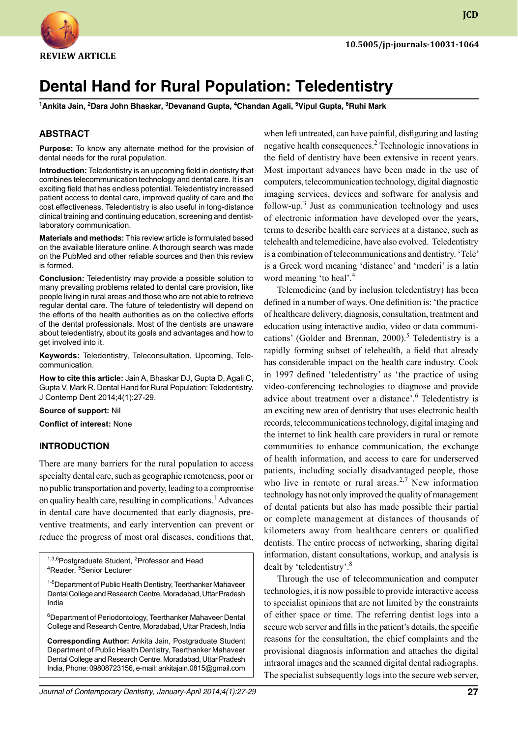**JCD**

# **Dental Hand for Rural Population: Teledentistry**

**1 Ankita Jain, 2 Dara John Bhaskar, 3 Devanand Gupta, 4 Chandan Agali, 5 Vipul Gupta, 6 Ruhi Mark**

#### **ABSTRACT**

**Purpose:** To know any alternate method for the provision of dental needs for the rural population.

**Introduction:** Teledentistry is an upcoming field in dentistry that combines telecommunication technology and dental care. It is an exciting field that has endless potential. Teledentistry increased patient access to dental care, improved quality of care and the cost effectiveness. Teledentistry is also useful in long-distance clinical training and continuing education, screening and dentistlaboratory communication.

**Materials and methods:** This review article is formulated based on the available literature online. A thorough search was made on the PubMed and other reliable sources and then this review is formed.

**Conclusion:** Teledentistry may provide a possible solution to many prevailing problems related to dental care provision, like people living in rural areas and those who are not able to retrieve regular dental care. The future of teledentistry will depend on the efforts of the health authorities as on the collective efforts of the dental professionals. Most of the dentists are unaware about teledentistry, about its goals and advantages and how to get involved into it.

**Keywords:** Teledentistry, Teleconsultation, Upcoming, Telecommunication.

**How to cite this article:** Jain A, Bhaskar Dj, Gupta D, Agali C, Gupta V, Mark R. Dental Hand for Rural Population: Teledentistry. J Contemp Dent 2014;4(1):27-29.

**Source of support:** Nil

**Conflict of interest:** None

#### **Introduction**

There are many barriers for the rural population to access specialty dental care, such as geographic remoteness, poor or no public transportation and poverty, leading to a compromise on quality health care, resulting in complications.<sup>1</sup> Advances in dental care have documented that early diagnosis, preventive treatments, and early intervention can prevent or reduce the progress of most oral diseases, conditions that,

<sup>1,3,6</sup>Postgraduate Student, <sup>2</sup>Professor and Head<br><sup>4</sup>Reader <sup>5</sup>Senior Lecturer Reader, <sup>5</sup>Senior Lecturer

<sup>1-5</sup>Department of Public Health Dentistry, Teerthanker Mahaveer Dental College and Research Centre, Moradabad, Uttar Pradesh India

6 Department of Periodontology, Teerthanker Mahaveer Dental College and Research Centre, Moradabad, Uttar Pradesh, India

**Corresponding Author:** Ankita Jain, Postgraduate Student Department of Public Health Dentistry, Teerthanker Mahaveer Dental College and Research Centre, Moradabad, Uttar Pradesh India, Phone: 09808723156, e-mail: ankitajain.0815@gmail.com when left untreated, can have painful, disfiguring and lasting negative health consequences.<sup>2</sup> Technologic innovations in the field of dentistry have been extensive in recent years. Most important advances have been made in the use of computers, telecommunication technology, digital diagnostic imaging services, devices and software for analysis and follow-up. $3$  Just as communication technology and uses of electronic information have developed over the years, terms to describe health care services at a distance, such as telehealth and telemedicine, have also evolved. Teledentistry is a combination of telecommunications and dentistry. 'Tele' is a Greek word meaning 'distance' and 'mederi' is a latin word meaning 'to heal'.<sup>4</sup>

Telemedicine (and by inclusion teledentistry) has been defined in a number of ways. One definition is: 'the practice of healthcare delivery, diagnosis, consultation, treatment and education using interactive audio, video or data communications' (Golder and Brennan, 2000).<sup>5</sup> Teledentistry is a rapidly forming subset of telehealth, a field that already has considerable impact on the health care industry. Cook in 1997 defined 'teledentistry' as 'the practice of using video-conferencing technologies to diagnose and provide advice about treatment over a distance'.<sup>6</sup> Teledentistry is an exciting new area of dentistry that uses electronic health records, telecommunications technology, digital imaging and the internet to link health care providers in rural or remote communities to enhance communication, the exchange of health information, and access to care for underserved patients, including socially disadvantaged people, those who live in remote or rural areas.<sup>2,7</sup> New information technology has not only improved the quality of management of dental patients but also has made possible their partial or complete management at distances of thousands of kilometers away from healthcare centers or qualified dentists. The entire process of networking, sharing digital information, distant consultations, workup, and analysis is dealt by 'teledentistry'.8

Through the use of telecommunication and computer technologies, it is now possible to provide interactive access to specialist opinions that are not limited by the constraints of either space or time. The referring dentist logs into a secure web server and fills in the patient's details, the specific reasons for the consultation, the chief complaints and the provisional diagnosis information and attaches the digital intraoral images and the scanned digital dental radiographs. The specialist subsequently logs into the secure web server,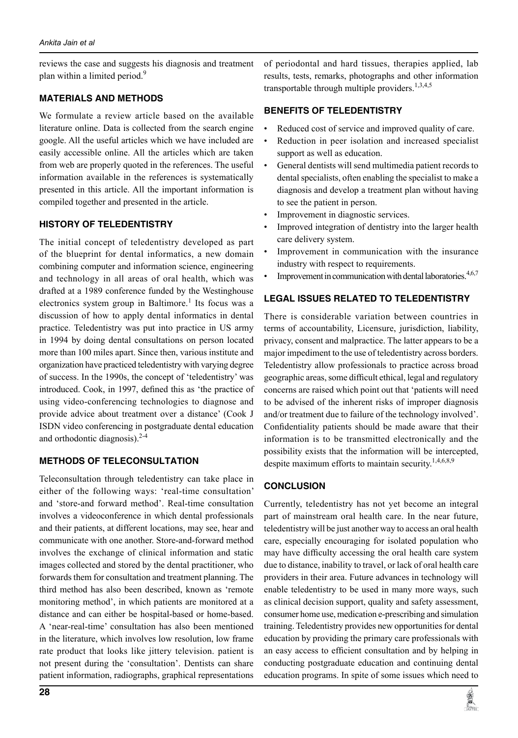reviews the case and suggests his diagnosis and treatment plan within a limited period.<sup>9</sup>

#### **Materials and Methods**

We formulate a review article based on the available literature online. Data is collected from the search engine google. All the useful articles which we have included are easily accessible online. All the articles which are taken from web are properly quoted in the references. The useful information available in the references is systematically presented in this article. All the important information is compiled together and presented in the article.

## **History of teledentistry**

The initial concept of teledentistry developed as part of the blueprint for dental informatics, a new domain combining computer and information science, engineering and technology in all areas of oral health, which was drafted at a 1989 conference funded by the Westinghouse electronics system group in Baltimore.<sup>1</sup> Its focus was a discussion of how to apply dental informatics in dental practice. Teledentistry was put into practice in US army in 1994 by doing dental consultations on person located more than 100 miles apart. Since then, various institute and organization have practiced teledentistry with varying degree of success. In the 1990s, the concept of 'teledentistry' was introduced. Cook, in 1997, defined this as 'the practice of using video-conferencing technologies to diagnose and provide advice about treatment over a distance' (Cook J ISDN video conferencing in postgraduate dental education and orthodontic diagnosis). $2-4$ 

## **Methods of Teleconsultation**

Teleconsultation through teledentistry can take place in either of the following ways: 'real-time consultation' and 'store-and forward method'. Real-time consultation involves a videoconference in which dental professionals and their patients, at different locations, may see, hear and communicate with one another. Store-and-forward method involves the exchange of clinical information and static images collected and stored by the dental practitioner, who forwards them for consultation and treatment planning. The third method has also been described, known as 'remote monitoring method', in which patients are monitored at a distance and can either be hospital-based or home-based. A 'near-real-time' consultation has also been mentioned in the literature, which involves low resolution, low frame rate product that looks like jittery television. patient is not present during the 'consultation'. Dentists can share patient information, radiographs, graphical representations

of periodontal and hard tissues, therapies applied, lab results, tests, remarks, photographs and other information transportable through multiple providers.<sup>1,3,4,5</sup>

#### **Benefits of Teledentistry**

- Reduced cost of service and improved quality of care.
- Reduction in peer isolation and increased specialist support as well as education.
- General dentists will send multimedia patient records to dental specialists, often enabling the specialist to make a diagnosis and develop a treatment plan without having to see the patient in person.
- Improvement in diagnostic services.
- Improved integration of dentistry into the larger health care delivery system.
- Improvement in communication with the insurance industry with respect to requirements.
- Improvement in communication with dental laboratories. $4,6,7$

## **Legal issues related to teledentistry**

There is considerable variation between countries in terms of accountability, licensure, jurisdiction, liability, privacy, consent and malpractice. The latter appears to be a major impediment to the use of teledentistry across borders. Teledentistry allow professionals to practice across broad geographic areas, some difficult ethical, legal and regulatory concerns are raised which point out that 'patients will need to be advised of the inherent risks of improper diagnosis and/or treatment due to failure of the technology involved'. Confidentiality patients should be made aware that their information is to be transmitted electronically and the possibility exists that the information will be intercepted, despite maximum efforts to maintain security.<sup>1,4,6,8,9</sup>

## **Conclusion**

Currently, teledentistry has not yet become an integral part of mainstream oral health care. In the near future, teledentistry will be just another way to access an oral health care, especially encouraging for isolated population who may have difficulty accessing the oral health care system due to distance, inability to travel, or lack of oral health care providers in their area. Future advances in technology will enable teledentistry to be used in many more ways, such as clinical decision support, quality and safety assessment, consumer home use, medication e-prescribing and simulation training. Teledentistry provides new opportunities for dental education by providing the primary care professionals with an easy access to efficient consultation and by helping in conducting postgraduate education and continuing dental education programs. In spite of some issues which need to